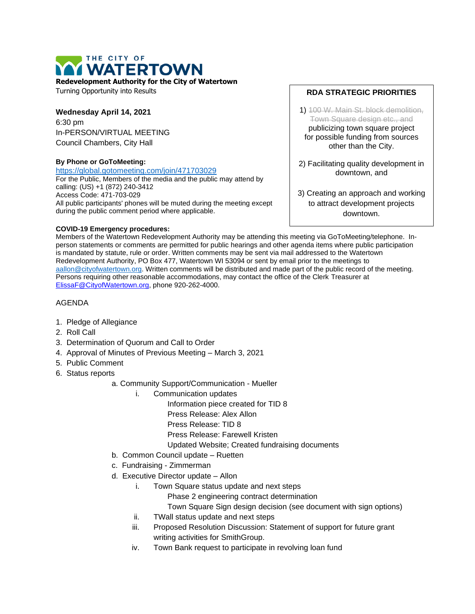

**Redevelopment Authority for the City of Watertown**

Turning Opportunity into Results

# **Wednesday April 14, 2021** 6:30 pm In-PERSON/VIRTUAL MEETING

Council Chambers, City Hall

### **By Phone or GoToMeeting:**

<https://global.gotomeeting.com/join/471703029> For the Public, Members of the media and the public may attend by calling: (US) +1 (872) 240-3412 Access Code: 471-703-029 All public participants' phones will be muted during the meeting except during the public comment period where applicable.

### **COVID-19 Emergency procedures:**

#### **RDA STRATEGIC PRIORITIES**

1) 100 W. Main St. block demolition, Town Square design etc., and publicizing town square project for possible funding from sources other than the City.

- 2) Facilitating quality development in downtown, and
- 3) Creating an approach and working to attract development projects downtown.

Members of the Watertown Redevelopment Authority may be attending this meeting via GoToMeeting/telephone. Inperson statements or comments are permitted for public hearings and other agenda items where public participation is mandated by statute, rule or order. Written comments may be sent via mail addressed to the Watertown Redevelopment Authority, PO Box 477, Watertown WI 53094 or sent by email prior to the meetings to [aallon@cityofwatertown.org.](mailto:aallon@cityofwatertown.org) Written comments will be distributed and made part of the public record of the meeting. Persons requiring other reasonable accommodations, may contact the office of the Clerk Treasurer at [ElissaF@CityofWatertown.org,](mailto:ElissaF@CityofWatertown.org) phone 920-262-4000.

## AGENDA

- 1. Pledge of Allegiance
- 2. Roll Call
- 3. Determination of Quorum and Call to Order
- 4. Approval of Minutes of Previous Meeting March 3, 2021
- 5. Public Comment
- 6. Status reports
	- a. Community Support/Communication Mueller
		- i. Communication updates
			- Information piece created for TID 8
				- Press Release: Alex Allon
				- Press Release: TID 8
				- Press Release: Farewell Kristen
			- Updated Website; Created fundraising documents
		- b. Common Council update Ruetten
		- c. Fundraising Zimmerman
		- d. Executive Director update Allon
			- i. Town Square status update and next steps
				- Phase 2 engineering contract determination
				- Town Square Sign design decision (see document with sign options)
			- ii. TWall status update and next steps
			- iii. Proposed Resolution Discussion: Statement of support for future grant writing activities for SmithGroup.
			- iv. Town Bank request to participate in revolving loan fund